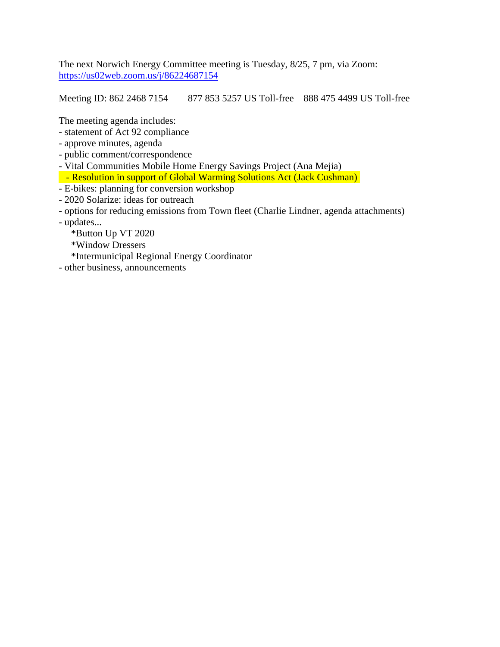The next Norwich Energy Committee meeting is Tuesday, 8/25, 7 pm, via Zoom: <https://us02web.zoom.us/j/86224687154>

Meeting ID: 862 2468 7154 877 853 5257 US Toll-free 888 475 4499 US Toll-free

The meeting agenda includes:

- statement of Act 92 compliance
- approve minutes, agenda
- public comment/correspondence
- Vital Communities Mobile Home Energy Savings Project (Ana Mejia)
- Resolution in support of Global Warming Solutions Act (Jack Cushman)
- E-bikes: planning for conversion workshop
- 2020 Solarize: ideas for outreach
- options for reducing emissions from Town fleet (Charlie Lindner, agenda attachments)
- updates...
	- \*Button Up VT 2020
	- \*Window Dressers
	- \*Intermunicipal Regional Energy Coordinator
- other business, announcements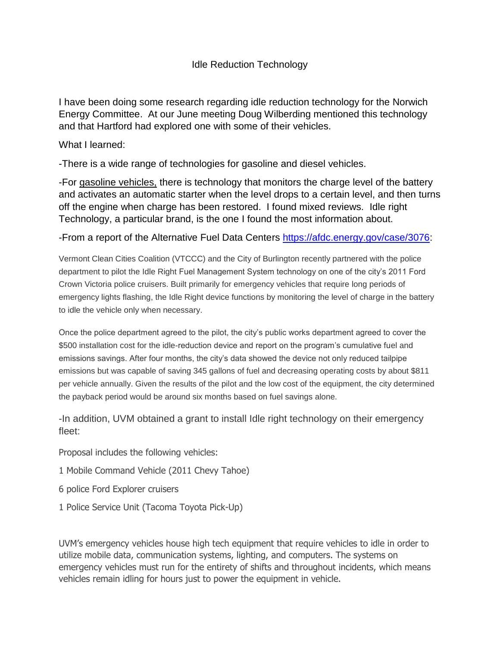# Idle Reduction Technology

I have been doing some research regarding idle reduction technology for the Norwich Energy Committee. At our June meeting Doug Wilberding mentioned this technology and that Hartford had explored one with some of their vehicles.

#### What I learned:

-There is a wide range of technologies for gasoline and diesel vehicles.

-For gasoline vehicles, there is technology that monitors the charge level of the battery and activates an automatic starter when the level drops to a certain level, and then turns off the engine when charge has been restored. I found mixed reviews. Idle right Technology, a particular brand, is the one I found the most information about.

## -From a report of the Alternative Fuel Data Centers [https://afdc.energy.gov/case/3076:](https://afdc.energy.gov/case/3076)

Vermont Clean Cities Coalition (VTCCC) and the City of Burlington recently partnered with the police department to pilot the Idle Right Fuel Management System technology on one of the city's 2011 Ford Crown Victoria police cruisers. Built primarily for emergency vehicles that require long periods of emergency lights flashing, the Idle Right device functions by monitoring the level of charge in the battery to idle the vehicle only when necessary.

Once the police department agreed to the pilot, the city's public works department agreed to cover the \$500 installation cost for the idle-reduction device and report on the program's cumulative fuel and emissions savings. After four months, the city's data showed the device not only reduced tailpipe emissions but was capable of saving 345 gallons of fuel and decreasing operating costs by about \$811 per vehicle annually. Given the results of the pilot and the low cost of the equipment, the city determined the payback period would be around six months based on fuel savings alone.

-In addition, UVM obtained a grant to install Idle right technology on their emergency fleet:

Proposal includes the following vehicles:

1 Mobile Command Vehicle (2011 Chevy Tahoe)

- 6 police Ford Explorer cruisers
- 1 Police Service Unit (Tacoma Toyota Pick-Up)

UVM's emergency vehicles house high tech equipment that require vehicles to idle in order to utilize mobile data, communication systems, lighting, and computers. The systems on emergency vehicles must run for the entirety of shifts and throughout incidents, which means vehicles remain idling for hours just to power the equipment in vehicle.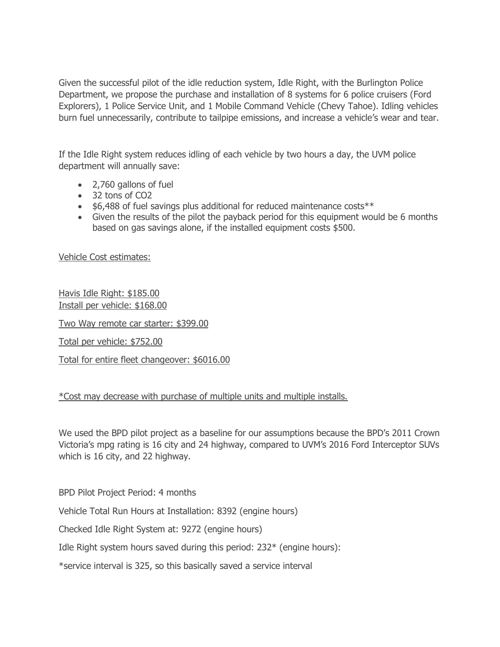Given the successful pilot of the idle reduction system, Idle Right, with the Burlington Police Department, we propose the purchase and installation of 8 systems for 6 police cruisers (Ford Explorers), 1 Police Service Unit, and 1 Mobile Command Vehicle (Chevy Tahoe). Idling vehicles burn fuel unnecessarily, contribute to tailpipe emissions, and increase a vehicle's wear and tear.

If the Idle Right system reduces idling of each vehicle by two hours a day, the UVM police department will annually save:

- 2,760 gallons of fuel
- 32 tons of CO2
- \$6,488 of fuel savings plus additional for reduced maintenance costs\*\*
- Given the results of the pilot the payback period for this equipment would be 6 months based on gas savings alone, if the installed equipment costs \$500.

Vehicle Cost estimates:

Havis Idle Right: \$185.00 Install per vehicle: \$168.00

Two Way remote car starter: \$399.00

Total per vehicle: \$752.00

Total for entire fleet changeover: \$6016.00

## \*Cost may decrease with purchase of multiple units and multiple installs.

We used the BPD pilot project as a baseline for our assumptions because the BPD's 2011 Crown Victoria's mpg rating is 16 city and 24 highway, compared to UVM's 2016 Ford Interceptor SUVs which is 16 city, and 22 highway.

BPD Pilot Project Period: 4 months

Vehicle Total Run Hours at Installation: 8392 (engine hours)

Checked Idle Right System at: 9272 (engine hours)

Idle Right system hours saved during this period: 232\* (engine hours):

\*service interval is 325, so this basically saved a service interval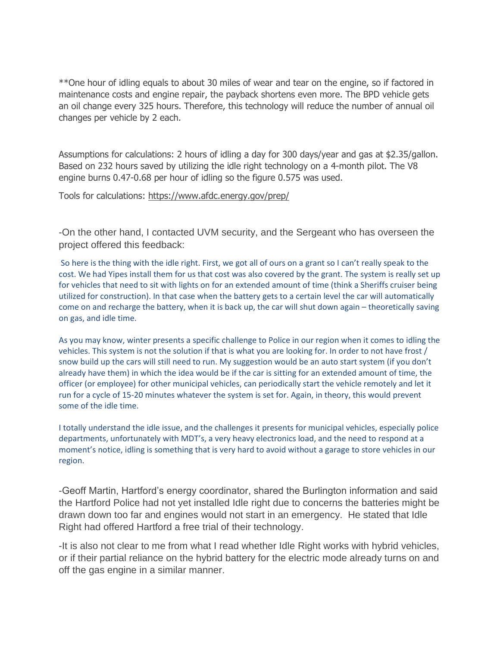\*\*One hour of idling equals to about 30 miles of wear and tear on the engine, so if factored in maintenance costs and engine repair, the payback shortens even more. The BPD vehicle gets an oil change every 325 hours. Therefore, this technology will reduce the number of annual oil changes per vehicle by 2 each.

Assumptions for calculations: 2 hours of idling a day for 300 days/year and gas at \$2.35/gallon. Based on 232 hours saved by utilizing the idle right technology on a 4-month pilot. The V8 engine burns 0.47-0.68 per hour of idling so the figure 0.575 was used.

Tools for calculations:<https://www.afdc.energy.gov/prep/>

-On the other hand, I contacted UVM security, and the Sergeant who has overseen the project offered this feedback:

So here is the thing with the idle right. First, we got all of ours on a grant so I can't really speak to the cost. We had Yipes install them for us that cost was also covered by the grant. The system is really set up for vehicles that need to sit with lights on for an extended amount of time (think a Sheriffs cruiser being utilized for construction). In that case when the battery gets to a certain level the car will automatically come on and recharge the battery, when it is back up, the car will shut down again – theoretically saving on gas, and idle time.

As you may know, winter presents a specific challenge to Police in our region when it comes to idling the vehicles. This system is not the solution if that is what you are looking for. In order to not have frost / snow build up the cars will still need to run. My suggestion would be an auto start system (if you don't already have them) in which the idea would be if the car is sitting for an extended amount of time, the officer (or employee) for other municipal vehicles, can periodically start the vehicle remotely and let it run for a cycle of 15-20 minutes whatever the system is set for. Again, in theory, this would prevent some of the idle time.

I totally understand the idle issue, and the challenges it presents for municipal vehicles, especially police departments, unfortunately with MDT's, a very heavy electronics load, and the need to respond at a moment's notice, idling is something that is very hard to avoid without a garage to store vehicles in our region.

-Geoff Martin, Hartford's energy coordinator, shared the Burlington information and said the Hartford Police had not yet installed Idle right due to concerns the batteries might be drawn down too far and engines would not start in an emergency. He stated that Idle Right had offered Hartford a free trial of their technology.

-It is also not clear to me from what I read whether Idle Right works with hybrid vehicles, or if their partial reliance on the hybrid battery for the electric mode already turns on and off the gas engine in a similar manner.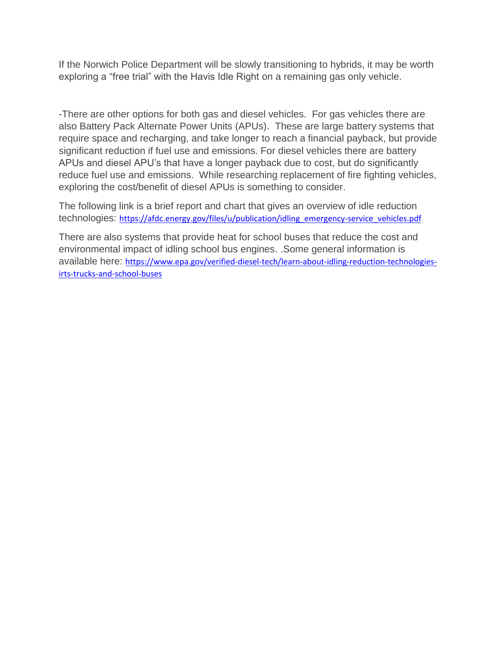If the Norwich Police Department will be slowly transitioning to hybrids, it may be worth exploring a "free trial" with the Havis Idle Right on a remaining gas only vehicle.

-There are other options for both gas and diesel vehicles. For gas vehicles there are also Battery Pack Alternate Power Units (APUs). These are large battery systems that require space and recharging, and take longer to reach a financial payback, but provide significant reduction if fuel use and emissions. For diesel vehicles there are battery APUs and diesel APU's that have a longer payback due to cost, but do significantly reduce fuel use and emissions. While researching replacement of fire fighting vehicles, exploring the cost/benefit of diesel APUs is something to consider.

The following link is a brief report and chart that gives an overview of idle reduction technologies: [https://afdc.energy.gov/files/u/publication/idling\\_emergency-service\\_vehicles.pdf](https://afdc.energy.gov/files/u/publication/idling_emergency-service_vehicles.pdf)

There are also systems that provide heat for school buses that reduce the cost and environmental impact of idling school bus engines. .Some general information is available here: [https://www.epa.gov/verified-diesel-tech/learn-about-idling-reduction-technologies](https://www.epa.gov/verified-diesel-tech/learn-about-idling-reduction-technologies-irts-trucks-and-school-buses)[irts-trucks-and-school-buses](https://www.epa.gov/verified-diesel-tech/learn-about-idling-reduction-technologies-irts-trucks-and-school-buses)